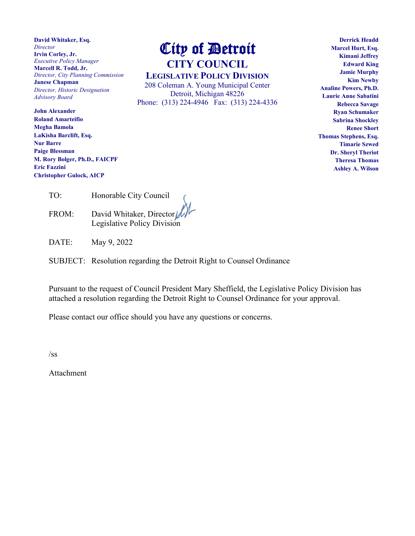**David Whitaker, Esq.** *Director* **Irvin Corley, Jr.** *Executive Policy Manager* **Marcell R. Todd, Jr.** *Director, City Planning Commission* **Janese Chapman** *Director, Historic Designation Advisory Board*

**John Alexander Roland Amarteifio Megha Bamola LaKisha Barclift, Esq. Nur Barre Paige Blessman M. Rory Bolger, Ph.D., FAICPF Eric Fazzini Christopher Gulock, AICP**

## City of Detroit **CITY COUNCIL**

**LEGISLATIVE POLICY DIVISION** 208 Coleman A. Young Municipal Center Detroit, Michigan 48226 Phone: (313) 224-4946 Fax: (313) 224-4336

**Derrick Headd Marcel Hurt, Esq. Kimani Jeffrey Edward King Jamie Murphy Kim Newby Analine Powers, Ph.D. Laurie Anne Sabatini Rebecca Savage Ryan Schumaker Sabrina Shockley Renee Short Thomas Stephens, Esq. Timarie Szwed Dr. Sheryl Theriot Theresa Thomas Ashley A. Wilson**

| TO: | Honorable City Council |
|-----|------------------------|
|-----|------------------------|

FROM: David Whitaker, Director Legislative Policy Division

DATE: May 9, 2022

SUBJECT: Resolution regarding the Detroit Right to Counsel Ordinance

Pursuant to the request of Council President Mary Sheffield, the Legislative Policy Division has attached a resolution regarding the Detroit Right to Counsel Ordinance for your approval.

Please contact our office should you have any questions or concerns.

/ss

Attachment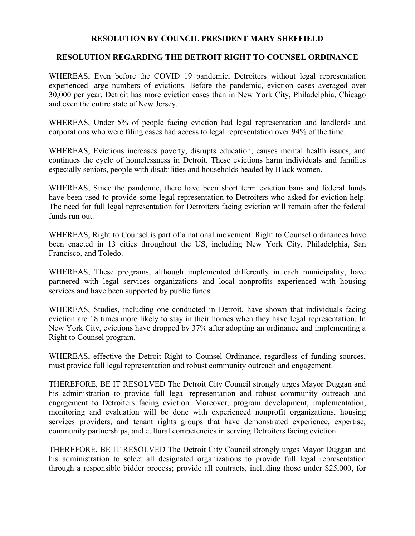## **RESOLUTION BY COUNCIL PRESIDENT MARY SHEFFIELD**

## **RESOLUTION REGARDING THE DETROIT RIGHT TO COUNSEL ORDINANCE**

WHEREAS, Even before the COVID 19 pandemic, Detroiters without legal representation experienced large numbers of evictions. Before the pandemic, eviction cases averaged over 30,000 per year. Detroit has more eviction cases than in New York City, Philadelphia, Chicago and even the entire state of New Jersey.

WHEREAS, Under 5% of people facing eviction had legal representation and landlords and corporations who were filing cases had access to legal representation over 94% of the time.

WHEREAS, Evictions increases poverty, disrupts education, causes mental health issues, and continues the cycle of homelessness in Detroit. These evictions harm individuals and families especially seniors, people with disabilities and households headed by Black women.

WHEREAS, Since the pandemic, there have been short term eviction bans and federal funds have been used to provide some legal representation to Detroiters who asked for eviction help. The need for full legal representation for Detroiters facing eviction will remain after the federal funds run out.

WHEREAS, Right to Counsel is part of a national movement. Right to Counsel ordinances have been enacted in 13 cities throughout the US, including New York City, Philadelphia, San Francisco, and Toledo.

WHEREAS, These programs, although implemented differently in each municipality, have partnered with legal services organizations and local nonprofits experienced with housing services and have been supported by public funds.

WHEREAS, Studies, including one conducted in Detroit, have shown that individuals facing eviction are 18 times more likely to stay in their homes when they have legal representation. In New York City, evictions have dropped by 37% after adopting an ordinance and implementing a Right to Counsel program.

WHEREAS, effective the Detroit Right to Counsel Ordinance, regardless of funding sources, must provide full legal representation and robust community outreach and engagement.

THEREFORE, BE IT RESOLVED The Detroit City Council strongly urges Mayor Duggan and his administration to provide full legal representation and robust community outreach and engagement to Detroiters facing eviction. Moreover, program development, implementation, monitoring and evaluation will be done with experienced nonprofit organizations, housing services providers, and tenant rights groups that have demonstrated experience, expertise, community partnerships, and cultural competencies in serving Detroiters facing eviction.

THEREFORE, BE IT RESOLVED The Detroit City Council strongly urges Mayor Duggan and his administration to select all designated organizations to provide full legal representation through a responsible bidder process; provide all contracts, including those under \$25,000, for